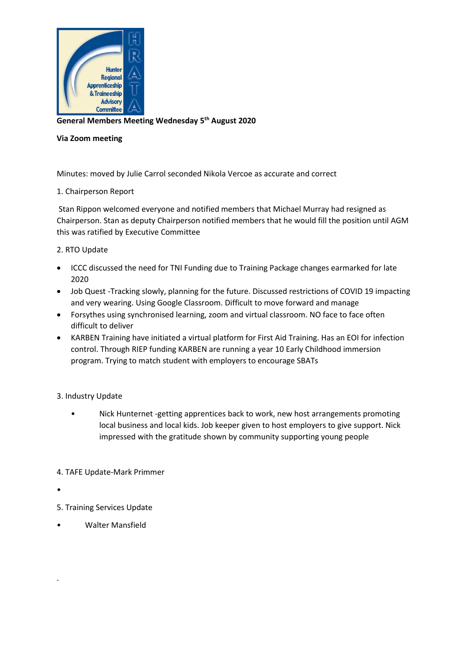

**General Members Meeting Wednesday 5 th August 2020**

## **Via Zoom meeting**

Minutes: moved by Julie Carrol seconded Nikola Vercoe as accurate and correct

## 1. Chairperson Report

Stan Rippon welcomed everyone and notified members that Michael Murray had resigned as Chairperson. Stan as deputy Chairperson notified members that he would fill the position until AGM this was ratified by Executive Committee

## 2. RTO Update

- ICCC discussed the need for TNI Funding due to Training Package changes earmarked for late 2020
- Job Quest -Tracking slowly, planning for the future. Discussed restrictions of COVID 19 impacting and very wearing. Using Google Classroom. Difficult to move forward and manage
- Forsythes using synchronised learning, zoom and virtual classroom. NO face to face often difficult to deliver
- KARBEN Training have initiated a virtual platform for First Aid Training. Has an EOI for infection control. Through RIEP funding KARBEN are running a year 10 Early Childhood immersion program. Trying to match student with employers to encourage SBATs

## 3. Industry Update

- Nick Hunternet -getting apprentices back to work, new host arrangements promoting local business and local kids. Job keeper given to host employers to give support. Nick impressed with the gratitude shown by community supporting young people
- 4. TAFE Update-Mark Primmer
- •

.

- 5. Training Services Update
- Walter Mansfield